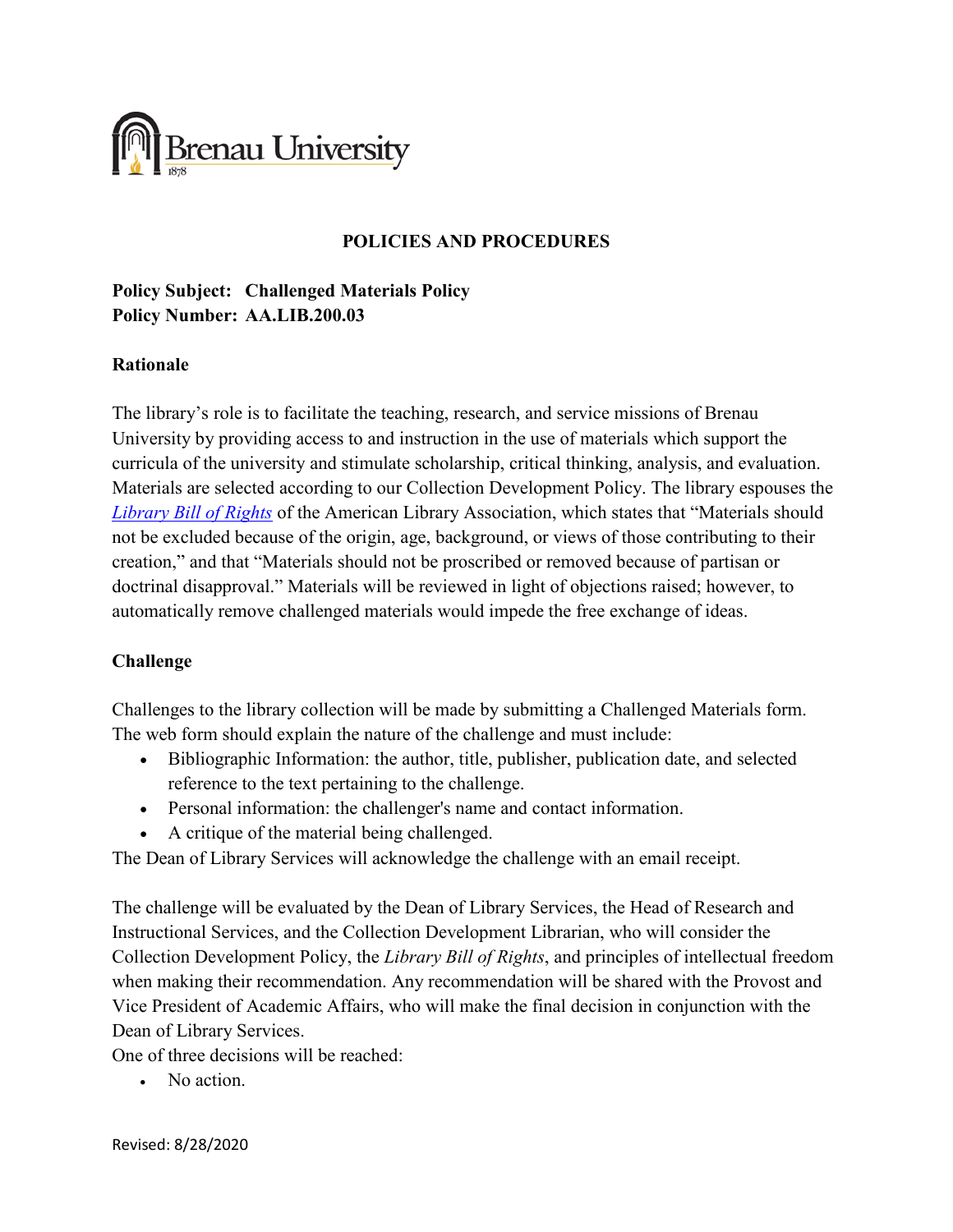

#### **POLICIES AND PROCEDURES**

## **Policy Subject: Challenged Materials Policy Policy Number: AA.LIB.200.03**

#### **Rationale**

The library's role is to facilitate the teaching, research, and service missions of Brenau University by providing access to and instruction in the use of materials which support the curricula of the university and stimulate scholarship, critical thinking, analysis, and evaluation. Materials are selected according to our Collection Development Policy. The library espouses the *[Library Bill of Rights](http://www.ala.org/advocacy/intfreedom/librarybill)* of the American Library Association, which states that "Materials should not be excluded because of the origin, age, background, or views of those contributing to their creation," and that "Materials should not be proscribed or removed because of partisan or doctrinal disapproval." Materials will be reviewed in light of objections raised; however, to automatically remove challenged materials would impede the free exchange of ideas.

### **Challenge**

Challenges to the library collection will be made by submitting a Challenged Materials form. The web form should explain the nature of the challenge and must include:

- Bibliographic Information: the author, title, publisher, publication date, and selected reference to the text pertaining to the challenge.
- Personal information: the challenger's name and contact information.
- A critique of the material being challenged.

The Dean of Library Services will acknowledge the challenge with an email receipt.

The challenge will be evaluated by the Dean of Library Services, the Head of Research and Instructional Services, and the Collection Development Librarian, who will consider the Collection Development Policy, the *Library Bill of Rights*, and principles of intellectual freedom when making their recommendation. Any recommendation will be shared with the Provost and Vice President of Academic Affairs, who will make the final decision in conjunction with the Dean of Library Services.

One of three decisions will be reached:

• No action.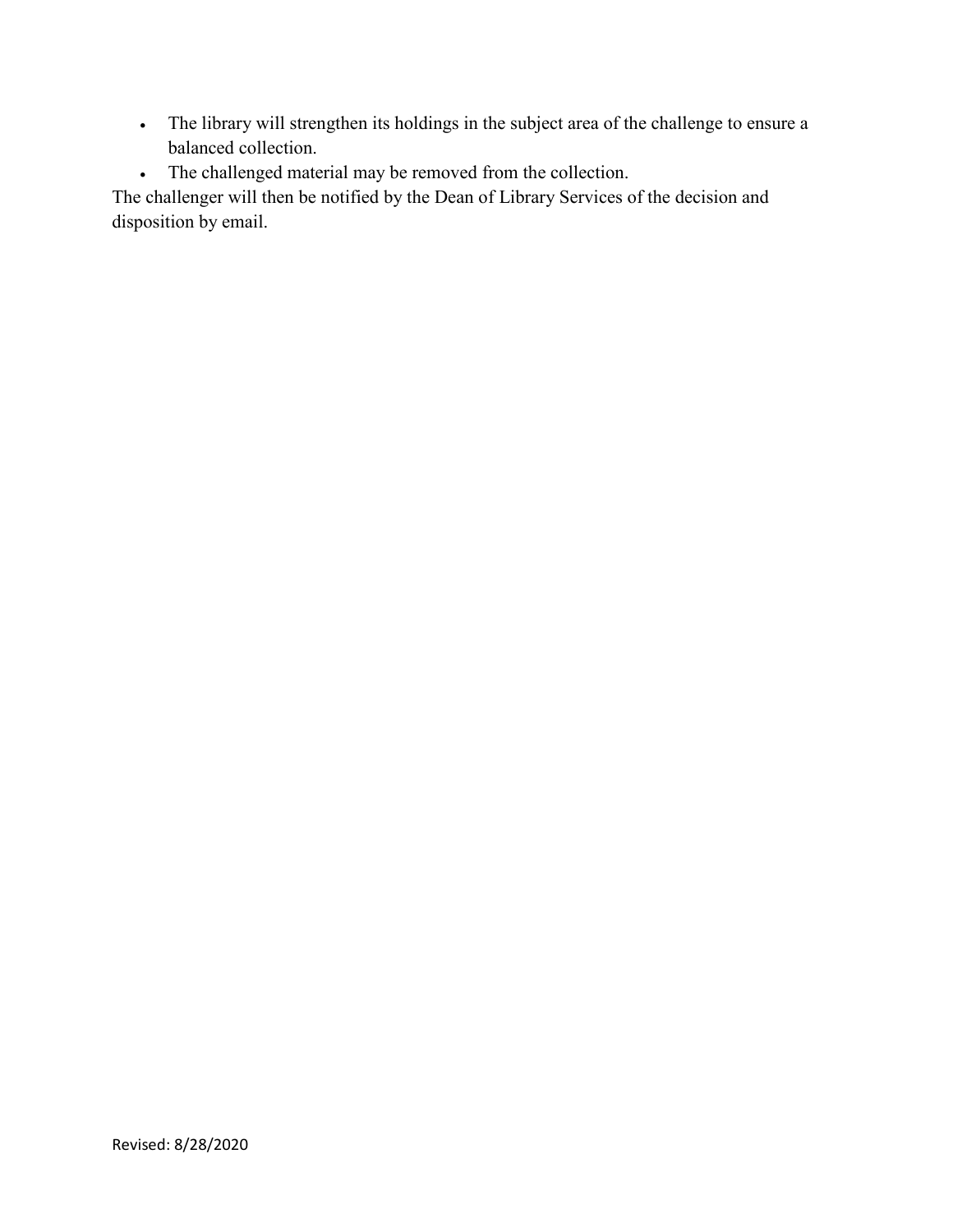- The library will strengthen its holdings in the subject area of the challenge to ensure a balanced collection.
- The challenged material may be removed from the collection.

The challenger will then be notified by the Dean of Library Services of the decision and disposition by email.